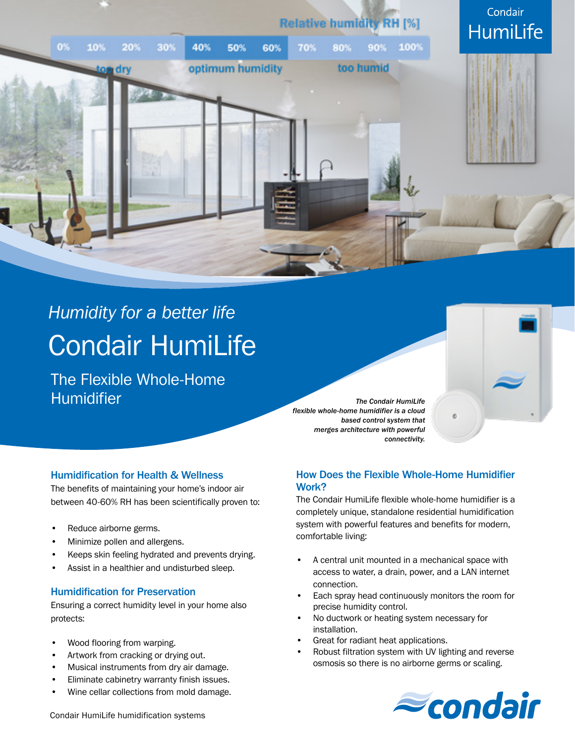

# *Humidity for a better life* Condair HumiLife

The Flexible Whole-Home **Humidifier** 

*The Condair HumiLife flexible whole-home humidifier is a cloud based control system that merges architecture with powerful connectivity.*



## Humidification for Health & Wellness

The benefits of maintaining your home's indoor air between 40-60% RH has been scientifically proven to:

- Reduce airborne germs.
- Minimize pollen and allergens.
- Keeps skin feeling hydrated and prevents drying.
- Assist in a healthier and undisturbed sleep.

#### Humidification for Preservation

Ensuring a correct humidity level in your home also protects:

- Wood flooring from warping.
- Artwork from cracking or drying out.
- Musical instruments from dry air damage.
- Eliminate cabinetry warranty finish issues.
- Wine cellar collections from mold damage.

## How Does the Flexible Whole-Home Humidifier Work?

The Condair HumiLife flexible whole-home humidifier is a completely unique, standalone residential humidification system with powerful features and benefits for modern, comfortable living:

- A central unit mounted in a mechanical space with access to water, a drain, power, and a LAN internet connection.
- Each spray head continuously monitors the room for precise humidity control.
- No ductwork or heating system necessary for installation.
- Great for radiant heat applications.
- Robust filtration system with UV lighting and reverse osmosis so there is no airborne germs or scaling.